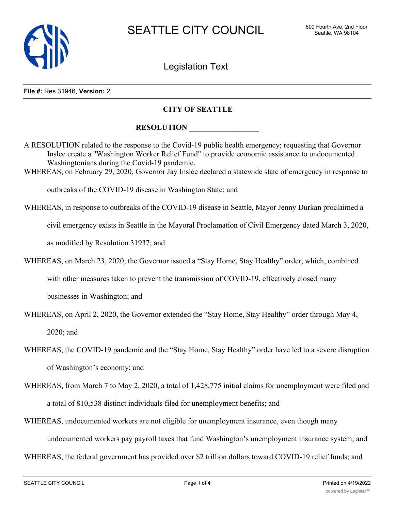

Legislation Text

#### **File #:** Res 31946, **Version:** 2

#### **CITY OF SEATTLE**

### ${\bf RESOLUTION}$

A RESOLUTION related to the response to the Covid-19 public health emergency; requesting that Governor Inslee create a "Washington Worker Relief Fund" to provide economic assistance to undocumented Washingtonians during the Covid-19 pandemic.

WHEREAS, on February 29, 2020, Governor Jay Inslee declared a statewide state of emergency in response to

outbreaks of the COVID-19 disease in Washington State; and

WHEREAS, in response to outbreaks of the COVID-19 disease in Seattle, Mayor Jenny Durkan proclaimed a

civil emergency exists in Seattle in the Mayoral Proclamation of Civil Emergency dated March 3, 2020,

as modified by Resolution 31937; and

WHEREAS, on March 23, 2020, the Governor issued a "Stay Home, Stay Healthy" order, which, combined

with other measures taken to prevent the transmission of COVID-19, effectively closed many

businesses in Washington; and

WHEREAS, on April 2, 2020, the Governor extended the "Stay Home, Stay Healthy" order through May 4,

2020; and

- WHEREAS, the COVID-19 pandemic and the "Stay Home, Stay Healthy" order have led to a severe disruption of Washington's economy; and
- WHEREAS, from March 7 to May 2, 2020, a total of 1,428,775 initial claims for unemployment were filed and a total of 810,538 distinct individuals filed for unemployment benefits; and
- WHEREAS, undocumented workers are not eligible for unemployment insurance, even though many

undocumented workers pay payroll taxes that fund Washington's unemployment insurance system; and

WHEREAS, the federal government has provided over \$2 trillion dollars toward COVID-19 relief funds; and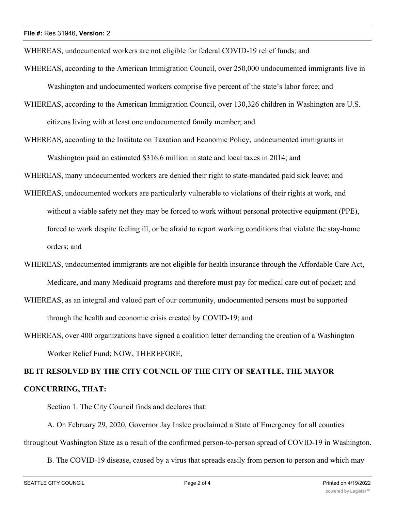WHEREAS, undocumented workers are not eligible for federal COVID-19 relief funds; and

- WHEREAS, according to the American Immigration Council, over 250,000 undocumented immigrants live in Washington and undocumented workers comprise five percent of the state's labor force; and
- WHEREAS, according to the American Immigration Council, over 130,326 children in Washington are U.S. citizens living with at least one undocumented family member; and
- WHEREAS, according to the Institute on Taxation and Economic Policy, undocumented immigrants in Washington paid an estimated \$316.6 million in state and local taxes in 2014; and

WHEREAS, many undocumented workers are denied their right to state-mandated paid sick leave; and

- WHEREAS, undocumented workers are particularly vulnerable to violations of their rights at work, and without a viable safety net they may be forced to work without personal protective equipment (PPE), forced to work despite feeling ill, or be afraid to report working conditions that violate the stay-home orders; and
- WHEREAS, undocumented immigrants are not eligible for health insurance through the Affordable Care Act, Medicare, and many Medicaid programs and therefore must pay for medical care out of pocket; and
- WHEREAS, as an integral and valued part of our community, undocumented persons must be supported through the health and economic crisis created by COVID-19; and
- WHEREAS, over 400 organizations have signed a coalition letter demanding the creation of a Washington Worker Relief Fund; NOW, THEREFORE,

## **BE IT RESOLVED BY THE CITY COUNCIL OF THE CITY OF SEATTLE, THE MAYOR CONCURRING, THAT:**

Section 1. The City Council finds and declares that:

A. On February 29, 2020, Governor Jay Inslee proclaimed a State of Emergency for all counties throughout Washington State as a result of the confirmed person-to-person spread of COVID-19 in Washington.

B. The COVID-19 disease, caused by a virus that spreads easily from person to person and which may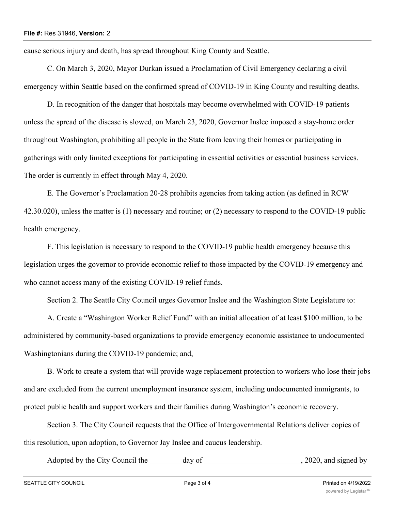cause serious injury and death, has spread throughout King County and Seattle.

C. On March 3, 2020, Mayor Durkan issued a Proclamation of Civil Emergency declaring a civil emergency within Seattle based on the confirmed spread of COVID-19 in King County and resulting deaths.

D. In recognition of the danger that hospitals may become overwhelmed with COVID-19 patients unless the spread of the disease is slowed, on March 23, 2020, Governor Inslee imposed a stay-home order throughout Washington, prohibiting all people in the State from leaving their homes or participating in gatherings with only limited exceptions for participating in essential activities or essential business services. The order is currently in effect through May 4, 2020.

E. The Governor's Proclamation 20-28 prohibits agencies from taking action (as defined in RCW 42.30.020), unless the matter is (1) necessary and routine; or (2) necessary to respond to the COVID-19 public health emergency.

F. This legislation is necessary to respond to the COVID-19 public health emergency because this legislation urges the governor to provide economic relief to those impacted by the COVID-19 emergency and who cannot access many of the existing COVID-19 relief funds.

Section 2. The Seattle City Council urges Governor Inslee and the Washington State Legislature to:

A. Create a "Washington Worker Relief Fund" with an initial allocation of at least \$100 million, to be administered by community-based organizations to provide emergency economic assistance to undocumented Washingtonians during the COVID-19 pandemic; and,

B. Work to create a system that will provide wage replacement protection to workers who lose their jobs and are excluded from the current unemployment insurance system, including undocumented immigrants, to protect public health and support workers and their families during Washington's economic recovery.

Section 3. The City Council requests that the Office of Intergovernmental Relations deliver copies of this resolution, upon adoption, to Governor Jay Inslee and caucus leadership.

Adopted by the City Council the day of the council state of the council of the day of the council state of the council state of the council state of the council state of the council state of the council state of the counci